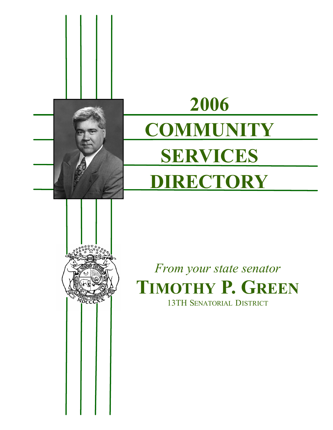

**VDCCC** 

# **2006 COMMUNITY SERVICES DIRECTORY**

*From your state senator* **TIMOTHY P. GREEN** 13TH SENATORIAL DISTRICT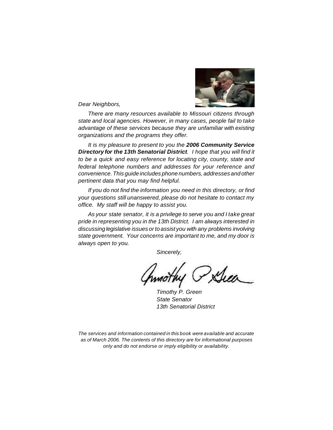

*Dear Neighbors,*

*There are many resources available to Missouri citizens through state and local agencies. However, in many cases, people fail to take advantage of these services because they are unfamiliar with existing organizations and the programs they offer.*

*It is my pleasure to present to you the 2006 Community Service Directory for the 13th Senatorial District. I hope that you will find it to be a quick and easy reference for locating city, county, state and federal telephone numbers and addresses for your reference and convenience.This guide includes phone numbers, addresses and other pertinent data that you may find helpful.*

*If you do not find the information you need in this directory, or find your questions still unanswered, please do not hesitate to contact my office. My staff will be happy to assist you.*

*As your state senator, it is a privilege to serve you and I take great pride in representing you in the 13th District. I am always interested in discussing legislative issues orto assist you with any problems involving state government. Your concerns are important to me, and my door is always open to you.*

*Sincerely,*

Duen\_

*Timothy P. Green State Senator 13th Senatorial District*

*The services and information contained in this book were available and accurate as of March 2006. The contents of this directory are for informational purposes only and do not endorse or imply eligibility or availability.*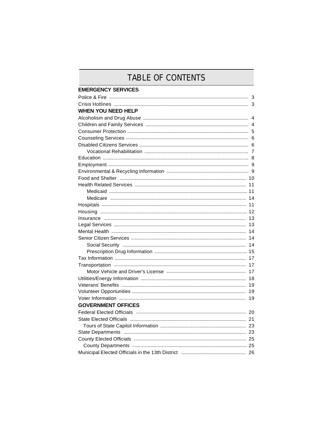### TABLE OF CONTENTS

| <b>EMERGENCY SERVICES</b> |  |
|---------------------------|--|
|                           |  |
|                           |  |
| <b>WHEN YOU NEED HELP</b> |  |
|                           |  |
|                           |  |
|                           |  |
|                           |  |
|                           |  |
|                           |  |
|                           |  |
|                           |  |
|                           |  |
|                           |  |
|                           |  |
|                           |  |
|                           |  |
|                           |  |
|                           |  |
|                           |  |
|                           |  |
|                           |  |
|                           |  |
|                           |  |
|                           |  |
|                           |  |
|                           |  |
|                           |  |
|                           |  |
|                           |  |
|                           |  |
|                           |  |
| <b>GOVERNMENT OFFICES</b> |  |
|                           |  |
|                           |  |
|                           |  |
|                           |  |
|                           |  |
|                           |  |
|                           |  |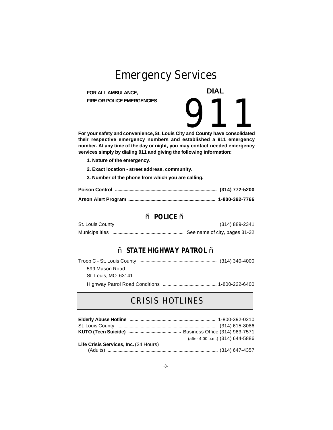## **Emergency Services**

**FOR ALL AMBULANCE, FIRE OR POLICE EMERGENCIES**  **DIAL**

FIRE OR POLICE EMERGENCIES<br>
For your safety and convenience, St. Louis City and County have consolidated **their respective emergency numbers and established a 911 emergency number. At any time of the day or night, you may contact needed emergency services simply by dialing 911 and giving the following information:**

- **1. Nature of the emergency.**
- **2. Exact location street address, community.**
- **3. Number of the phone from which you are calling.**

#### – **POLICE** –

### – **STATE HIGHWAY PATROL** –

| 599 Mason Road      |  |  |
|---------------------|--|--|
| St. Louis, MO 63141 |  |  |
|                     |  |  |

### **CRISIS HOTLINES**

|                                       | (after 4:00 p.m.) (314) 644-5886 |
|---------------------------------------|----------------------------------|
| Life Crisis Services, Inc. (24 Hours) |                                  |
|                                       |                                  |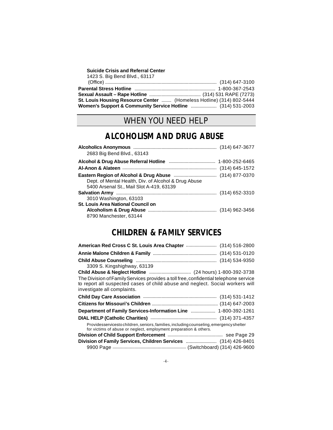| Suicide Crisis and Referral Center |  |  |  |  |  |  |
|------------------------------------|--|--|--|--|--|--|
|------------------------------------|--|--|--|--|--|--|

| 1423 S. Big Bend Blvd., 63117                                        |  |
|----------------------------------------------------------------------|--|
|                                                                      |  |
|                                                                      |  |
|                                                                      |  |
| St. Louis Housing Resource Center  (Homeless Hotline) (314) 802-5444 |  |
| Women's Support & Community Service Hotline  (314) 531-2003          |  |

### **WHEN YOU NEED HELP**

### **ALCOHOLISM AND DRUG ABUSE**

| 2683 Big Bend Blvd., 63143                           |  |
|------------------------------------------------------|--|
|                                                      |  |
|                                                      |  |
| Dept. of Mental Health, Div. of Alcohol & Drug Abuse |  |
| 5400 Arsenal St., Mail Slot A-419, 63139             |  |
|                                                      |  |
| 3010 Washington, 63103                               |  |
| <b>St. Louis Area National Council on</b>            |  |
|                                                      |  |
| 8790 Manchester, 63144                               |  |

### **CHILDREN & FAMILY SERVICES**

| American Red Cross C St. Louis Area Chapter  (314) 516-2800                                                                                                                                          |  |
|------------------------------------------------------------------------------------------------------------------------------------------------------------------------------------------------------|--|
|                                                                                                                                                                                                      |  |
|                                                                                                                                                                                                      |  |
| 3309 S. Kingshighway, 63139                                                                                                                                                                          |  |
|                                                                                                                                                                                                      |  |
| The Division of Family Services provides a toll free, confidential telephone service<br>to report all suspected cases of child abuse and neglect. Social workers will<br>investigate all complaints. |  |
|                                                                                                                                                                                                      |  |
|                                                                                                                                                                                                      |  |
| Department of Family Services-Information Line  1-800-392-1261                                                                                                                                       |  |
|                                                                                                                                                                                                      |  |
| Providesservicesto children, seniors, families, including counseling, emergency shelter<br>for victims of abuse or neglect, employment preparation & others.                                         |  |
|                                                                                                                                                                                                      |  |
|                                                                                                                                                                                                      |  |
|                                                                                                                                                                                                      |  |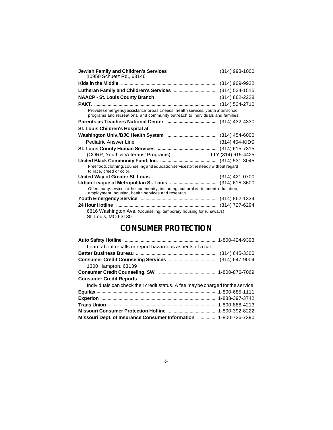| 10950 Schuetz Rd., 63146                                                                                                                                           |  |
|--------------------------------------------------------------------------------------------------------------------------------------------------------------------|--|
|                                                                                                                                                                    |  |
|                                                                                                                                                                    |  |
|                                                                                                                                                                    |  |
|                                                                                                                                                                    |  |
| Provides emergency assistance forbasic needs; health services, youth after school<br>programs and recreational and community outreach to individuals and families. |  |
|                                                                                                                                                                    |  |
| St. Louis Children's Hospital at                                                                                                                                   |  |
|                                                                                                                                                                    |  |
|                                                                                                                                                                    |  |
|                                                                                                                                                                    |  |
| (CORP, Youth & Veterans' Programs)  TTY (314) 615-4425                                                                                                             |  |
|                                                                                                                                                                    |  |
| Free food, clothing, counseling and education servicesto the needy without regard<br>to race, creed or color.                                                      |  |
|                                                                                                                                                                    |  |
|                                                                                                                                                                    |  |
| Offersmany servicesto the community, including, cultural enrichment, education,<br>employment, housing, health services and research.                              |  |
|                                                                                                                                                                    |  |
|                                                                                                                                                                    |  |
| 6816 Washington Ave. (Counseling, temporary housing for runaways)<br>St. Louis, MO 63130                                                                           |  |

### **CONSUMER PROTECTION**

| Learn about recalls or report hazardous aspects of a car.                        |  |
|----------------------------------------------------------------------------------|--|
|                                                                                  |  |
|                                                                                  |  |
| 1300 Hampton, 63139                                                              |  |
|                                                                                  |  |
| <b>Consumer Credit Reports</b>                                                   |  |
| Individuals can check their credit status. A fee may be charged for the service. |  |
|                                                                                  |  |
|                                                                                  |  |
|                                                                                  |  |
|                                                                                  |  |
| Missouri Dept. of Insurance Consumer Information  1-800-726-7390                 |  |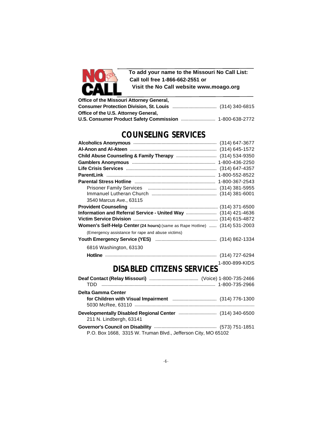

**To add your name to the Missouri No Call List: Call toll free 1-866-662-2551 or Visit the No Call website www.moago.org**

| Office of the Missouri Attorney General,                |  |
|---------------------------------------------------------|--|
|                                                         |  |
| Office of the U.S. Attorney General,                    |  |
| U.S. Consumer Product Safety Commission  1-800-638-2772 |  |

### **COUNSELING SERVICES**

| 3540 Marcus Ave., 63115                                                             |                |
|-------------------------------------------------------------------------------------|----------------|
|                                                                                     |                |
| Information and Referral Service - United Way  (314) 421-4636                       |                |
|                                                                                     |                |
| Women's Self-Help Center (24 hours) (same as Rape Hotline)  (314) 531-2003          |                |
| (Emergency assistance for rape and abuse victims)                                   |                |
|                                                                                     |                |
| 6816 Washington, 63130                                                              |                |
|                                                                                     |                |
|                                                                                     | 1-800-899-KIDS |
| <b>DISABLED CITIZENS SERVICES</b>                                                   |                |
|                                                                                     |                |
|                                                                                     |                |
| Delta Gamma Center                                                                  |                |
|                                                                                     |                |
|                                                                                     |                |
| Developmentally Disabled Regional Center  (314) 340-6500<br>211 N. Lindbergh, 63141 |                |
|                                                                                     |                |
| P.O. Box 1668, 3315 W. Truman Blvd., Jefferson City, MO 65102                       |                |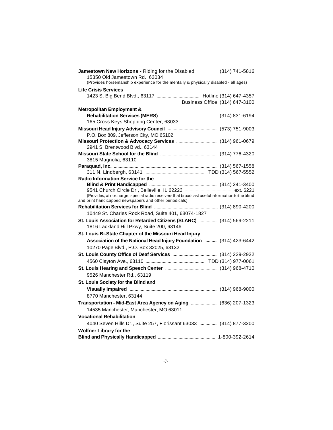| Jamestown New Horizons - Riding for the Disabled  (314) 741-5816<br>15350 Old Jamestown Rd., 63034 |  |
|----------------------------------------------------------------------------------------------------|--|
| (Provides horsemanship experience for the mentally & physically disabled - all ages)               |  |
| <b>Life Crisis Services</b>                                                                        |  |
| Business Office (314) 647-3100                                                                     |  |
| <b>Metropolitan Employment &amp;</b>                                                               |  |
|                                                                                                    |  |
| 165 Cross Keys Shopping Center, 63033                                                              |  |
|                                                                                                    |  |
| P.O. Box 809, Jefferson City, MO 65102                                                             |  |
|                                                                                                    |  |
| 2941 S. Brentwood Blvd., 63144                                                                     |  |
| 3815 Magnolia, 63110                                                                               |  |
|                                                                                                    |  |
|                                                                                                    |  |
| <b>Radio Information Service for the</b>                                                           |  |
|                                                                                                    |  |
| (Provides, at no charge, special radio receivers that broadcast useful information to the blind    |  |
| and print handicapped newspapers and other periodicals)                                            |  |
|                                                                                                    |  |
| 10449 St. Charles Rock Road, Suite 401, 63074-1827                                                 |  |
| St. Louis Association for Retarded Citizens (SLARC)  (314) 569-2211                                |  |
| 1816 Lackland Hill Pkwy, Suite 200, 63146                                                          |  |
| St. Louis Bi-State Chapter of the Missouri Head Injury                                             |  |
| Association of the National Head Injury Foundation  (314) 423-6442                                 |  |
| 10270 Page Blvd., P.O. Box 32025, 63132                                                            |  |
|                                                                                                    |  |
|                                                                                                    |  |
|                                                                                                    |  |
| 9526 Manchester Rd., 63119                                                                         |  |
| St. Louis Society for the Blind and                                                                |  |
|                                                                                                    |  |
| 8770 Manchester, 63144                                                                             |  |
| Transportation - Mid-East Area Agency on Aging  (636) 207-1323                                     |  |
| 14535 Manchester, Manchester, MO 63011                                                             |  |
| <b>Vocational Rehabilitation</b>                                                                   |  |
| 4040 Seven Hills Dr., Suite 257, Florissant 63033  (314) 877-3200                                  |  |
| <b>Wolfner Library for the</b>                                                                     |  |
|                                                                                                    |  |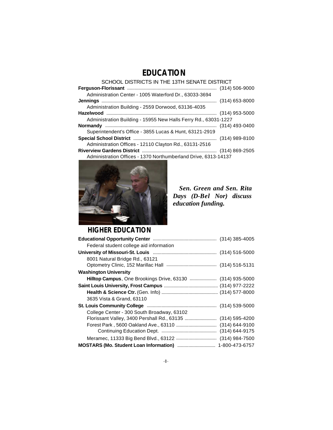### **EDUCATION**

SCHOOL DISTRICTS IN THE 13TH SENATE DISTRICT

| Administration Center - 1005 Waterford Dr., 63033-3694          |  |
|-----------------------------------------------------------------|--|
|                                                                 |  |
| Administration Building - 2559 Dorwood, 63136-4035              |  |
|                                                                 |  |
| Administration Building - 15955 New Halls Ferry Rd., 63031-1227 |  |
|                                                                 |  |
| Superintendent's Office - 3855 Lucas & Hunt, 63121-2919         |  |
|                                                                 |  |
| Administration Offices - 12110 Clayton Rd., 63131-2516          |  |
|                                                                 |  |
| Administration Offices - 1370 Northumberland Drive, 6313-14137  |  |



 *Sen. Green and Sen. Rita Days (D-Bel Nor) discuss education funding.*

### **HIGHER EDUCATION**

| Federal student college aid information                     |  |
|-------------------------------------------------------------|--|
|                                                             |  |
| 8001 Natural Bridge Rd., 63121                              |  |
|                                                             |  |
| <b>Washington University</b>                                |  |
| Hilltop Campus, One Brookings Drive, 63130  (314) 935-5000  |  |
|                                                             |  |
|                                                             |  |
| 3635 Vista & Grand, 63110                                   |  |
|                                                             |  |
| College Center - 300 South Broadway, 63102                  |  |
| Florissant Valley, 3400 Pershall Rd., 63135  (314) 595-4200 |  |
|                                                             |  |
|                                                             |  |
|                                                             |  |
|                                                             |  |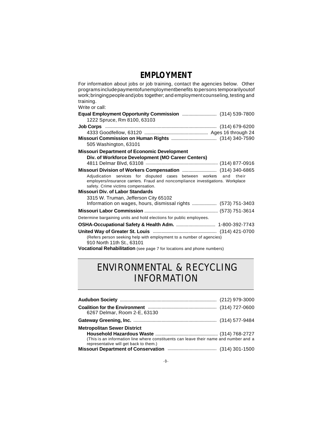### **EMPLOYMENT**

| For information about jobs or job training, contact the agencies below. Other<br>programs include payment of unemployment benefits to persons temporarily out of<br>work; bringing people and jobs together; and employment counseling, testing and<br>training.<br>Write or call: |           |
|------------------------------------------------------------------------------------------------------------------------------------------------------------------------------------------------------------------------------------------------------------------------------------|-----------|
|                                                                                                                                                                                                                                                                                    |           |
| 1222 Spruce, Rm 8100, 63103                                                                                                                                                                                                                                                        |           |
|                                                                                                                                                                                                                                                                                    |           |
|                                                                                                                                                                                                                                                                                    |           |
|                                                                                                                                                                                                                                                                                    |           |
| 505 Washington, 63101                                                                                                                                                                                                                                                              |           |
| <b>Missouri Department of Economic Development</b>                                                                                                                                                                                                                                 |           |
| Div. of Workforce Development (MO Career Centers)                                                                                                                                                                                                                                  |           |
|                                                                                                                                                                                                                                                                                    |           |
|                                                                                                                                                                                                                                                                                    |           |
| Adjudication services for disputed cases between workers<br>employers/insurance carriers. Fraud and noncompliance investigations. Workplace<br>safety. Crime victims compensation.                                                                                                 | and their |
| <b>Missouri Div. of Labor Standards</b>                                                                                                                                                                                                                                            |           |
| 3315 W. Truman, Jefferson City 65102                                                                                                                                                                                                                                               |           |
| Information on wages, hours, dismissal rights  (573) 751-3403                                                                                                                                                                                                                      |           |
|                                                                                                                                                                                                                                                                                    |           |
| Determine bargaining units and hold elections for public employees.                                                                                                                                                                                                                |           |
|                                                                                                                                                                                                                                                                                    |           |
|                                                                                                                                                                                                                                                                                    |           |
| (Refers person seeking help with employment to a number of agencies)                                                                                                                                                                                                               |           |
| 910 North 11th St., 63101                                                                                                                                                                                                                                                          |           |
| Vocational Rehabilitation (see page 7 for locations and phone numbers)                                                                                                                                                                                                             |           |

### **ENVIRONMENTAL & RECYCLING INFORMATION**

| 6267 Delmar, Room 2-E, 63130                                                                                                    |  |
|---------------------------------------------------------------------------------------------------------------------------------|--|
|                                                                                                                                 |  |
| <b>Metropolitan Sewer District</b>                                                                                              |  |
|                                                                                                                                 |  |
| (This is an information line where constituents can leave their name and number and a<br>representative will get back to them.) |  |
|                                                                                                                                 |  |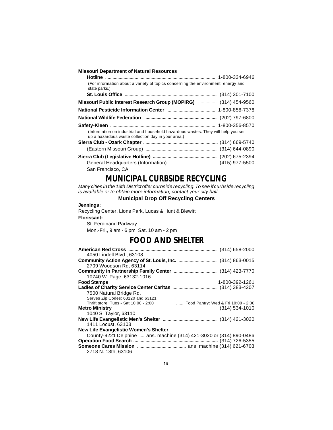| <b>Missouri Department of Natural Resources</b>                                                                                         |  |
|-----------------------------------------------------------------------------------------------------------------------------------------|--|
|                                                                                                                                         |  |
| (For information about a variety of topics concerning the environment, energy and<br>state parks.)                                      |  |
|                                                                                                                                         |  |
| Missouri Public Interest Research Group (MOPIRG)  (314) 454-9560                                                                        |  |
|                                                                                                                                         |  |
|                                                                                                                                         |  |
|                                                                                                                                         |  |
| (Information on industrial and household hazardous wastes. They will help you set<br>up a hazardous waste collection day in your area.) |  |
|                                                                                                                                         |  |
|                                                                                                                                         |  |
|                                                                                                                                         |  |
|                                                                                                                                         |  |
| San Francisco, CA                                                                                                                       |  |

### **MUNICIPAL CURBSIDE RECYCLING**

*Many cities in the 13th District offer curbside recycling.To see ifcurbside recycling is available or to obtain more information, contact your city hall.*

#### **Municipal Drop Off Recycling Centers**

#### **Jennings**:

Recycling Center, Lions Park, Lucas & Hunt & Blewitt **Florissant:**

St. Ferdinand Parkway Mon.-Fri., 9 am - 6 pm; Sat. 10 am - 2 pm

### **FOOD AND SHELTER**

| 4050 Lindell Blvd., 63108<br>2709 Woodson Rd, 63114<br>10740 W. Page, 63132-1016 |  |
|----------------------------------------------------------------------------------|--|
|                                                                                  |  |
|                                                                                  |  |
|                                                                                  |  |
|                                                                                  |  |
|                                                                                  |  |
|                                                                                  |  |
|                                                                                  |  |
| 7500 Natural Bridge Rd.                                                          |  |
| Serves Zip Codes: 63120 and 63121                                                |  |
| Thrift store: Tues - Sat 10:00 - 2:00  Food Pantry: Wed & Fri 10:00 - 2:00       |  |
|                                                                                  |  |
| 1040 S. Taylor, 63110                                                            |  |
|                                                                                  |  |
| 1411 Locust, 63103                                                               |  |
| <b>New Life Evangelistic Women's Shelter</b>                                     |  |
| County-9221 Delphine  ans. machine (314) 421-3020 or (314) 890-0486              |  |
|                                                                                  |  |
|                                                                                  |  |
| 2718 N. 13th, 63106                                                              |  |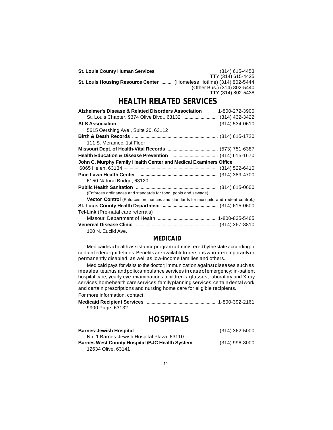|                                                                      | TTY (314) 615-4425          |
|----------------------------------------------------------------------|-----------------------------|
| St. Louis Housing Resource Center  (Homeless Hotline) (314) 802-5444 |                             |
|                                                                      | (Other Bus.) (314) 802-5440 |
|                                                                      | TTY (314) 802-5438          |

### **HEALTH RELATED SERVICES**

| Alzheimer's Disease & Related Disorders Association  1-800-272-3900                        |  |
|--------------------------------------------------------------------------------------------|--|
|                                                                                            |  |
|                                                                                            |  |
| 5615 Oershing Ave., Suite 20, 63112                                                        |  |
|                                                                                            |  |
| 111 S. Meramec, 1st Floor                                                                  |  |
|                                                                                            |  |
|                                                                                            |  |
| John C. Murphy Family Health Center and Medical Examiners Office                           |  |
|                                                                                            |  |
|                                                                                            |  |
| 6150 Natural Bridge, 63120                                                                 |  |
|                                                                                            |  |
| (Enforces ordinances and standards for food, pools and sewage)                             |  |
| <b>Vector Control</b> (Enforces ordinances and standards for mosquito and rodent control.) |  |
|                                                                                            |  |
| <b>Tel-Link</b> (Pre-natal care referrals)                                                 |  |
|                                                                                            |  |
|                                                                                            |  |
| 100 N. Euclid Ave.                                                                         |  |

#### **MEDICAID**

Medicaidis ahealth assistanceprogram administeredbythestate accordingto certain federal guidelines. Benefits are available to persons who are temporarily or permanently disabled, as well as low-income families and others.

Medicaid pays for visits to the doctor; immunization againstdiseases such as measles,tetanus andpolio;ambulance services in caseofemergency; in-patient hospital care; yearly eye examinations; children's glasses; laboratory and X-ray services;homehealth care services;familyplanning services;certain dental work and certain prescriptions and nursing home care for eligible recipients. For more information, contact:

| .                                  |  |
|------------------------------------|--|
| <b>Medicaid Recipient Services</b> |  |
| 9900 Page, 63132                   |  |

### **HOSPITALS**

| No. 1 Barnes-Jewish Hospital Plaza, 63110                             |  |
|-----------------------------------------------------------------------|--|
| <b>Barnes West County Hospital /BJC Health System  (314) 996-8000</b> |  |
| 12634 Olive, 63141                                                    |  |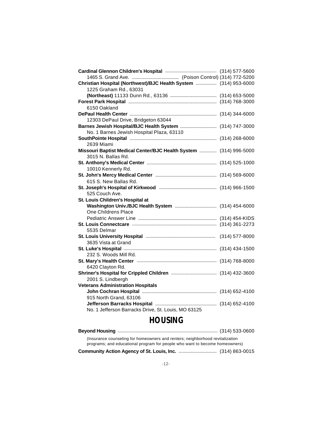| Christian Hospital (Northwest)/BJC Health System  (314) 953-6000  |  |
|-------------------------------------------------------------------|--|
| 1225 Graham Rd., 63031                                            |  |
|                                                                   |  |
|                                                                   |  |
| 6150 Oakland                                                      |  |
|                                                                   |  |
| 12303 DePaul Drive, Bridgeton 63044                               |  |
| Barnes Jewish Hospital/BJC Health System  (314) 747-3000          |  |
| No. 1 Barnes Jewish Hospital Plaza, 63110                         |  |
|                                                                   |  |
| 2639 Miami                                                        |  |
| Missouri Baptist Medical Center/BJC Health System  (314) 996-5000 |  |
| 3015 N. Ballas Rd.                                                |  |
|                                                                   |  |
| 10010 Kennerly Rd.                                                |  |
|                                                                   |  |
| 615 S. New Ballas Rd.                                             |  |
|                                                                   |  |
| 525 Couch Ave.                                                    |  |
| St. Louis Children's Hospital at                                  |  |
|                                                                   |  |
| One Childrens Place                                               |  |
|                                                                   |  |
|                                                                   |  |
| 5535 Delmar                                                       |  |
|                                                                   |  |
| 3635 Vista at Grand                                               |  |
|                                                                   |  |
| 232 S. Woods Mill Rd.                                             |  |
|                                                                   |  |
| 6420 Clayton Rd.                                                  |  |
|                                                                   |  |
| 2001 S. Lindbergh                                                 |  |
| <b>Veterans Administration Hospitals</b>                          |  |
|                                                                   |  |
| 915 North Grand, 63106                                            |  |
|                                                                   |  |
| No. 1 Jefferson Barracks Drive, St. Louis, MO 63125               |  |

### **HOUSING**

| (Insurance counseling for homeowners and renters; neighborhood revitalization<br>programs; and educational program for people who want to become homeowners) |  |  |
|--------------------------------------------------------------------------------------------------------------------------------------------------------------|--|--|
|                                                                                                                                                              |  |  |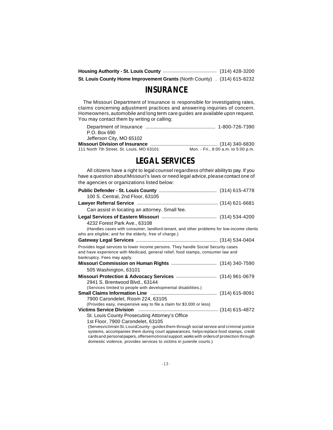|                                                                          | (314) 428-3200 |
|--------------------------------------------------------------------------|----------------|
| St. Louis County Home Improvement Grants (North County) . (314) 615-8232 |                |

### **INSURANCE**

 The Missouri Department of Insurance is responsible for investigating rates, claims concerning adjustment practices and answering inquiries of concern. Homeowners,automobile and long term care guides are available upon request. You may contact them by writing or calling:

| P.O. Box 690                              |                                     |
|-------------------------------------------|-------------------------------------|
| Jefferson City, MO 65102                  |                                     |
|                                           |                                     |
| 111 North 7th Street, St. Louis, MO 63101 | Mon. - Fri., 8:00 a.m. to 5:00 p.m. |

### **LEGAL SERVICES**

All citizens have a right to legal counsel regardless oftheir abilityto pay. If you have a question about Missouri's laws or need legal advice, please contact one of the agencies or organizations listed below:

| 100 S. Central, 2nd Floor, 63105                                                                                                                                                                      |  |
|-------------------------------------------------------------------------------------------------------------------------------------------------------------------------------------------------------|--|
|                                                                                                                                                                                                       |  |
| Can assist in locating an attorney. Small fee.                                                                                                                                                        |  |
|                                                                                                                                                                                                       |  |
| 4232 Forest Park Ave., 63108                                                                                                                                                                          |  |
| (Handles cases with consumer, landlord-tenant, and other problems for low-income clients<br>who are eligible; and for the elderly, free of charge.)                                                   |  |
|                                                                                                                                                                                                       |  |
| Provides legal services to lower income persons. They handle Social Security cases<br>and have experience with Medicaid, general relief, food stamps, consumer law and<br>bankruptcy. Fees may apply. |  |
|                                                                                                                                                                                                       |  |
| 505 Washington, 63101                                                                                                                                                                                 |  |
|                                                                                                                                                                                                       |  |
| 2941 S. Brentwood Blvd., 63144                                                                                                                                                                        |  |
| (Services limited to people with developmental disabilities.)                                                                                                                                         |  |
|                                                                                                                                                                                                       |  |
| 7900 Carondelet, Room 224, 63105                                                                                                                                                                      |  |
| (Provides easy, inexpensive way to file a claim for \$3,000 or less)                                                                                                                                  |  |
|                                                                                                                                                                                                       |  |
| St. Louis County Prosecuting Attorney's Office                                                                                                                                                        |  |
| 1st Floor, 7900 Carondelet, 63105                                                                                                                                                                     |  |
| (Servesvictimsin St. LouisCounty - guides them through social service and criminal justice                                                                                                            |  |
| systems, accompanies them during court appearances, helps replace food stamps, credit<br>cards and personal papers, offersemotional support, works with orders of protection through                  |  |
| domestic violence, provides services to victims in juvenile courts.)                                                                                                                                  |  |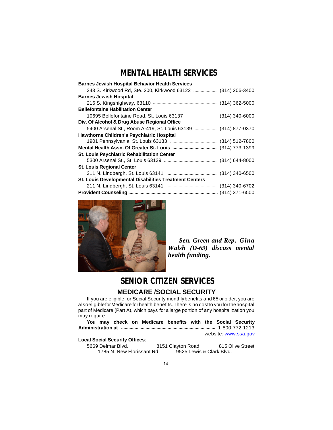### **MENTAL HEALTH SERVICES**

| <b>Barnes Jewish Hospital Behavior Health Services</b>        |  |
|---------------------------------------------------------------|--|
| 343 S. Kirkwood Rd, Ste. 200, Kirkwood 63122  (314) 206-3400  |  |
| <b>Barnes Jewish Hospital</b>                                 |  |
|                                                               |  |
| <b>Bellefontaine Habilitation Center</b>                      |  |
| 10695 Bellefontaine Road, St. Louis 63137  (314) 340-6000     |  |
| Div. Of Alcohol & Drug Abuse Regional Office                  |  |
| 5400 Arsenal St., Room A-419, St. Louis 63139  (314) 877-0370 |  |
| <b>Hawthorne Children's Psychiatric Hospital</b>              |  |
|                                                               |  |
|                                                               |  |
| <b>St. Louis Psychiatric Rehabilitation Center</b>            |  |
|                                                               |  |
| <b>St. Louis Regional Center</b>                              |  |
|                                                               |  |
| <b>St. Louis Developmental Disabilities Treatment Centers</b> |  |
|                                                               |  |
|                                                               |  |



 *Sen. Green and Rep. Gina Walsh (D-69) discuss mental health funding.*

### **SENIOR CITIZEN SERVICES**

#### **MEDICARE /SOCIAL SECURITY**

If you are eligible for Social Security monthlybenefits and 65 or older, you are alsoeligibleforMedicare for health benefits.There is no costto you for thehospital part of Medicare (Part A), which pays for a large portion of any hospitalization you may require.

**You may check on Medicare benefits with the Social Security Administration at** ............................................................................. 1-800-772-1213

website: www.ssa.gov

#### **Local Social Security Offices**:

5669 Delmar Blvd. 8151 Clayton Road 815 Olive Street<br>1785 N. New Florissant Rd. 9525 Lewis & Clark Blvd. 1785 N. New Florissant Rd.